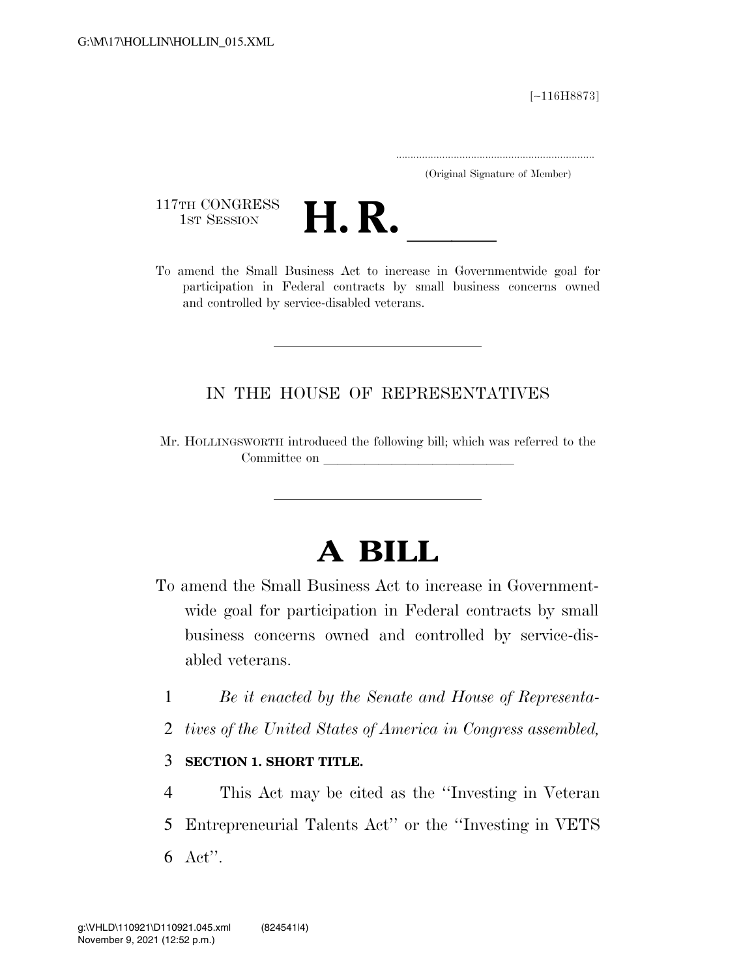[∼116H8873]

.....................................................................

(Original Signature of Member)

117TH CONGRESS<br>1st Session



117TH CONGRESS<br>1st SESSION<br>To amend the Small Business Act to increase in Governmentwide goal for participation in Federal contracts by small business concerns owned and controlled by service-disabled veterans.

## IN THE HOUSE OF REPRESENTATIVES

Mr. HOLLINGSWORTH introduced the following bill; which was referred to the Committee on

## **A BILL**

- To amend the Small Business Act to increase in Governmentwide goal for participation in Federal contracts by small business concerns owned and controlled by service-disabled veterans.
	- 1 *Be it enacted by the Senate and House of Representa-*
	- 2 *tives of the United States of America in Congress assembled,*
	- 3 **SECTION 1. SHORT TITLE.**
	- 4 This Act may be cited as the ''Investing in Veteran 5 Entrepreneurial Talents Act'' or the ''Investing in VETS 6 Act''.